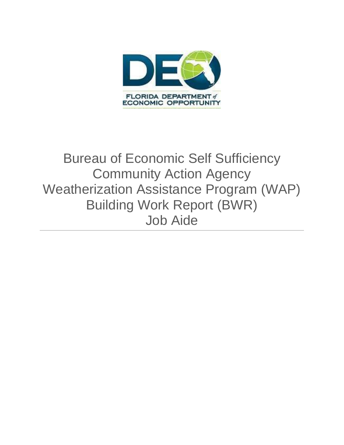

# Bureau of Economic Self Sufficiency Community Action Agency Weatherization Assistance Program (WAP) Building Work Report (BWR) Job Aide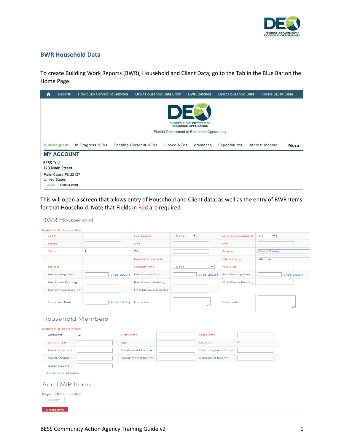

# **BWR Household Data**

To create Building Work Reports (BWR), Household and Client Data, go to the Tab in the Blue Bar on the Home Page.

| A                | Reports                                      | <b>Previously Served Households</b> | <b>BWR Household Data Entry</b> |                                                                    | <b>BWR Batches</b> | <b>BWR Household Data</b> | <b>Create SERA Case</b> |      |
|------------------|----------------------------------------------|-------------------------------------|---------------------------------|--------------------------------------------------------------------|--------------------|---------------------------|-------------------------|------|
|                  |                                              |                                     |                                 | D<br><b>SUBRECIPIENT ENTERPRISE</b><br><b>RESOURCE APPLICATION</b> |                    |                           |                         |      |
|                  |                                              |                                     |                                 | Florida Department of Economic Opportunity                         |                    |                           |                         |      |
|                  | <b>Subrecipient</b>                          | In Progress NFAs                    | <b>Pending Closeout NFAs</b>    | Closed NFAs                                                        | Advances           | Expenditures              | Interest Income         | More |
|                  | <b>MY ACCOUNT</b>                            |                                     |                                 |                                                                    |                    |                           |                         |      |
| <b>BESS Test</b> | 123 Main Street                              |                                     |                                 |                                                                    |                    |                           |                         |      |
|                  | Palm Coast, FL 32137<br><b>United States</b> |                                     |                                 |                                                                    |                    |                           |                         |      |
| · www.           | XXXXXX.COM                                   |                                     |                                 |                                                                    |                    |                           |                         |      |

This will open a screen that allows entry of Household and Client data, as well as the entry of BWR Items for that Household. Note that Fields in Red are required.

# **BWR Household**

| Regulred Fleids are in Red. |               |                              |               |                             |               |
|-----------------------------|---------------|------------------------------|---------------|-----------------------------|---------------|
| Job#                        |               | <b>Fuel Source</b>           | v<br>--None-- | <b>Landlord Agreement</b>   | No<br>v       |
| Street                      |               | Unit                         |               | City                        |               |
| State                       | <b>FL</b>     | Zip                          |               | County                      | Select County |
|                             |               | Proof of Ownership           |               | <b>Client Energy</b>        | --None--      |
| Sq Foot                     |               | Property Type                | v<br>--None-- | Year Bullt                  |               |
| Pre Reading Date            | $5/16/2018$ ] | Post Reading Date            | $5/16/2018$ ] | <b>Final Reading Date</b>   | [5/16/2018]   |
| Pre Blower Reading          |               | Post Blower Reading          |               | <b>Final Blower Reading</b> |               |
| Pre Monoxor Reading         |               | <b>Final Monoxor Reading</b> |               |                             |               |
| <b>Inspected Date</b>       | 5/16/2018]    | Inspector                    |               | Comments                    |               |

# **Household Members**

| Required Fields are in Red.<br>Applicant | ✓ | <b>First Name</b>        | <b>Last Name</b>         |                      |
|------------------------------------------|---|--------------------------|--------------------------|----------------------|
| Last 4 of SSN                            |   | Age                      | <b>Disabled</b>          | $\qquad \qquad \Box$ |
| Proof of Income                          |   | <b>Employment Income</b> | <b>Unemployment Comp</b> |                      |
| <b>Social Security</b>                   |   | Supplemental Income      | <b>Retirement Income</b> |                      |
| Other Income                             |   |                          |                          |                      |
| <b>Add Another Member</b>                |   |                          |                          |                      |
| <b>Add BWR Items</b>                     |   |                          |                          |                      |
| Required Fields are in Red.<br>Add Item  |   |                          |                          |                      |
| <b>Create BWR</b>                        |   |                          |                          |                      |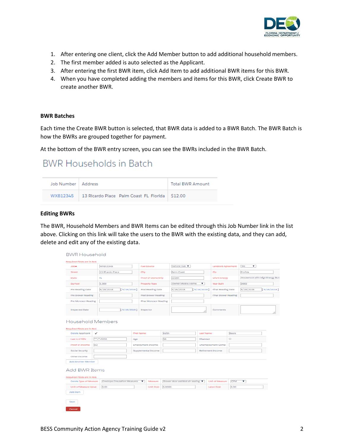

- 1. After entering one client, click the Add Member button to add additional household members.
- 2. The first member added is auto selected as the Applicant.
- 3. After entering the first BWR item, click Add Item to add additional BWR items for this BWR.
- 4. When you have completed adding the members and items for this BWR, click Create BWR to create another BWR.

#### **BWR Batches**

Each time the Create BWR button is selected, that BWR data is added to a BWR Batch. The BWR Batch is how the BWRs are grouped together for payment.

At the bottom of the BWR entry screen, you can see the BWRs included in the BWR Batch.

# **BWR Households in Batch**

| Job Number   Address |                                                             | Total BWR Amount |
|----------------------|-------------------------------------------------------------|------------------|
|                      | WXB12345   13 Ricardo Place Palm Coast FL Florida   \$12.00 |                  |

#### **Editing BWRs**

The BWR, Household Members and BWR Items can be edited through this Job Number link in the list above. Clicking on this link will take the users to the BWR with the existing data, and they can add, delete and edit any of the existing data.

| <b>Joba</b>                                         | <b>WXB12345</b>                     |             | <b>Puel Source</b>       |        | Natural Gas ▼                      |                  | Landlord Agreement       |                                      | Yes<br>▼  |                                 |
|-----------------------------------------------------|-------------------------------------|-------------|--------------------------|--------|------------------------------------|------------------|--------------------------|--------------------------------------|-----------|---------------------------------|
| Street                                              | 13 Ricardo Place                    |             | City                     |        | Palm Coast                         |                  | Zlo.                     |                                      | Florida   |                                 |
| State                                               | FL.                                 |             | Proof of Ownership       |        | 32164                              |                  | Cilent Energy            |                                      |           | Household with High Energy Burc |
| Sq Foot                                             | 1,000                               |             | Property Type            |        | Owner Mobile Home                  | ▼                | Year Bullt               |                                      | 2002      |                                 |
| Pre Reading Date                                    | 5/16/2018                           | [5/16/2018] | Post Reading Date        |        | 5/16/2018                          | [5/16/2018]      | Final Reading Date       |                                      | 5/16/2018 | [5/16/2018]                     |
| Pre Blower Reading                                  |                                     |             | Post Blower Reading      |        |                                    |                  | Final Blower Reading     |                                      |           |                                 |
| Pre Monoxor Reading                                 |                                     |             | Final Monoxor Reading    |        |                                    |                  |                          |                                      |           |                                 |
| <b>Inspected Date</b>                               |                                     | [5/16/2018] | Inspector                |        |                                    |                  | Comments                 |                                      |           |                                 |
|                                                     | Household Members                   |             |                          |        |                                    |                  |                          |                                      |           |                                 |
| Required Fleids are In Red.                         |                                     |             |                          |        |                                    |                  |                          |                                      |           |                                 |
| Delete Applicant                                    | ✓                                   |             | <b>First Name</b>        | Kelth  |                                    | <b>Last Name</b> |                          | Beers                                |           |                                 |
| Last 4 of SSN                                       | $***3555$                           | Age         |                          | 58     |                                    | <b>Disabled</b>  |                          | $\qquad \qquad \qquad \qquad \qquad$ |           |                                 |
| Proof of Income                                     | w <sub>2</sub>                      |             | <b>Employment Income</b> |        |                                    |                  | <b>Unemployment Comp</b> |                                      |           |                                 |
| Social Security                                     |                                     |             | Supplemental Income      |        |                                    |                  | Retirement Income        |                                      |           |                                 |
| Other Income                                        |                                     |             |                          |        |                                    |                  |                          |                                      |           |                                 |
| Add Another Member                                  |                                     |             |                          |        |                                    |                  |                          |                                      |           |                                 |
| <b>Add BWR Items</b><br>Required Fields are in Red. |                                     |             |                          |        |                                    |                  |                          |                                      |           |                                 |
| Delete Type of Measure                              | <b>Envelope/Insulation Measures</b> |             | ▼<br>Measure             |        | Blower door assisted air sealing ▼ |                  | Unit of Measure          | <b>CFM</b>                           | ▼         |                                 |
| Unit of Measure Value                               | 3.00                                |             | <b>Unit Cost</b>         | 3.0000 |                                    |                  | <b>Labor Cost</b>        | 3.00                                 |           |                                 |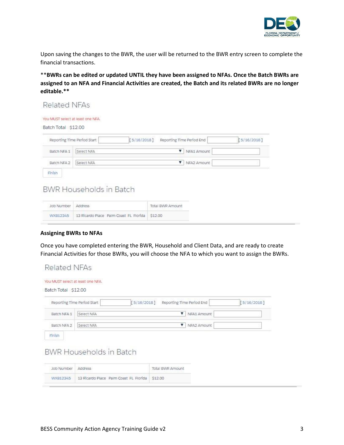

Upon saving the changes to the BWR, the user will be returned to the BWR entry screen to complete the financial transactions.

\*\***BWRs can be edited or updated UNTIL they have been assigned to NFAs. Once the Batch BWRs are assigned to an NFA and Financial Activities are created, the Batch and its related BWRs are no longer editable.\*\***

#### Related NFAs You MUST select at least one NFA. Batch Total \$12.00 [5/16/2018] Reporting Time Period End  $[5/16/2018]$ Reporting Time Period Start Batch NFA 1 NFA1 Amount Select NFA NFA2 Amount Batch NFA 2 Select NFA Finish

# **BWR Households in Batch**

| Job Number Address<br>The company of the Control of the |                                                         | <b>Total BWR Amount</b> |
|---------------------------------------------------------|---------------------------------------------------------|-------------------------|
|                                                         | WXB12345 13 Ricardo Place Paim Coast FL Florida \$12.00 |                         |

# **Assigning BWRs to NFAs**

Once you have completed entering the BWR, Household and Client Data, and are ready to create Financial Activities for those BWRs, you will choose the NFA to which you want to assign the BWRs.

|             | [5/16/2018]<br>Reporting Time Period Start | Reporting Time Period End |             | [5/16/2018] |
|-------------|--------------------------------------------|---------------------------|-------------|-------------|
| Batch NFA 1 | Select NFA                                 | v                         | NFA1 Amount |             |
| Batch NFA 2 | Select NFA                                 | ▼                         | NFA2 Amount |             |
| Finish      | <b>BWR Households in Batch</b>             |                           |             |             |
|             |                                            |                           |             |             |
| Job Number  | Address                                    | <b>Total BWR Amount</b>   |             |             |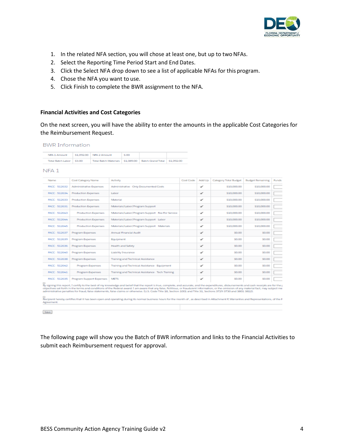

- 1. In the related NFA section, you will chose at least one, but up to two NFAs.
- 2. Select the Reporting Time Period Start and End Dates.
- 3. Click the Select NFA drop down to see a list of applicable NFAs for this program.
- 4. Chose the NFA you want to use.
- 5. Click Finish to complete the BWR assignment to the NFA.

#### **Financial Activities and Cost Categories**

On the next screen, you will have the ability to enter the amounts in the applicable Cost Categories for the Reimbursement Request.

| <b>BWR</b> Information |  |  |
|------------------------|--|--|
|                        |  |  |
|                        |  |  |

| NFA 1 Amount            | S1,092.00 NFA 2 Amount                                              | 5.00 |  |
|-------------------------|---------------------------------------------------------------------|------|--|
| Total Batch Labor 53.00 | Total Batch Materials   \$1,089.00   Batch Grand Total   \$1,092.00 |      |  |

NFA<sub>1</sub>

| Name                 | Cost Category Name                                  | <b>Activity</b>                                                                                                                                                                                                                                                                                                                                                                                                                                                                                                                                                                                                                                                                                                                                                   | Cost Code   | Add Up       | Category Total Budget | <b>Budget Remaining</b> | <b>Funds</b> |
|----------------------|-----------------------------------------------------|-------------------------------------------------------------------------------------------------------------------------------------------------------------------------------------------------------------------------------------------------------------------------------------------------------------------------------------------------------------------------------------------------------------------------------------------------------------------------------------------------------------------------------------------------------------------------------------------------------------------------------------------------------------------------------------------------------------------------------------------------------------------|-------------|--------------|-----------------------|-------------------------|--------------|
| FACC 512632          | Administrative Expenses                             | Administrative - Only Documented Costs                                                                                                                                                                                                                                                                                                                                                                                                                                                                                                                                                                                                                                                                                                                            |             | ✔            | \$10,000,00           | \$10,000,00             |              |
| FACC 512634          | Production Expenses<br>Labor<br>✔<br>\$10,000,00    |                                                                                                                                                                                                                                                                                                                                                                                                                                                                                                                                                                                                                                                                                                                                                                   | \$10,000.00 |              |                       |                         |              |
| <b>FACC - 512633</b> | Production Expenses<br>Material<br>✓<br>\$10,000,00 |                                                                                                                                                                                                                                                                                                                                                                                                                                                                                                                                                                                                                                                                                                                                                                   | \$10,000.00 |              |                       |                         |              |
| FACC 512631          | Production Expenses                                 | Materials/Labor/Program Support                                                                                                                                                                                                                                                                                                                                                                                                                                                                                                                                                                                                                                                                                                                                   |             | ✔            | \$10,000,00           | \$10,000,00             |              |
| FACC - 512643        | Production Expenses                                 | Materials/Labor/Program Support - Fee For Service                                                                                                                                                                                                                                                                                                                                                                                                                                                                                                                                                                                                                                                                                                                 |             | ✔            | \$10,000,00           | \$10,000,00             |              |
| FACC 512644          | Production Expenses                                 | Materials/Labor/Program Support - Labor                                                                                                                                                                                                                                                                                                                                                                                                                                                                                                                                                                                                                                                                                                                           |             | ✔            | \$10,000,00           | \$10,000.00             |              |
| FACC - 512645        | Production Expenses                                 | Materials/Labor/Program Support - Materials                                                                                                                                                                                                                                                                                                                                                                                                                                                                                                                                                                                                                                                                                                                       |             | ✔            | \$10,000,00           | \$10,000,00             |              |
| <b>FACC 512637</b>   | Program Expenses<br>Annual Financial Audit<br>✔     |                                                                                                                                                                                                                                                                                                                                                                                                                                                                                                                                                                                                                                                                                                                                                                   | \$0.00      | <b>SO.00</b> |                       |                         |              |
| FACC 512639          | Program Expenses                                    | Equipment                                                                                                                                                                                                                                                                                                                                                                                                                                                                                                                                                                                                                                                                                                                                                         |             | ✔            | <b>SO.00</b>          | <b>SO.00</b>            |              |
| FACC - 512636        | Program Expenses                                    | Health and Safety                                                                                                                                                                                                                                                                                                                                                                                                                                                                                                                                                                                                                                                                                                                                                 |             | ✔            | <b>S0.00</b>          | <b>SD.00</b>            |              |
| FACC - 512640        | Program Expenses                                    | Liability Insurance                                                                                                                                                                                                                                                                                                                                                                                                                                                                                                                                                                                                                                                                                                                                               |             | ✔            | \$0.00                | <b>SD.00</b>            |              |
| FACC 512638          | Program Expenses                                    | Training and Technical Assistance                                                                                                                                                                                                                                                                                                                                                                                                                                                                                                                                                                                                                                                                                                                                 |             | ✔            | \$0.00                | \$0.00                  |              |
| FACC 512642          | Program Expenses                                    | Training and Technical Assistance - Equipment                                                                                                                                                                                                                                                                                                                                                                                                                                                                                                                                                                                                                                                                                                                     |             | ✔            | <b>SO.00</b>          | <b>SQ.00</b>            |              |
| FACC 512641          | Program Expenses                                    | Training and Technical Assistance - Tech Training                                                                                                                                                                                                                                                                                                                                                                                                                                                                                                                                                                                                                                                                                                                 |             | ✔            | <b>SO.00</b>          | <b>SO.00</b>            |              |
| FACC - 512635        | Program Support Expenses                            | <b>METS</b>                                                                                                                                                                                                                                                                                                                                                                                                                                                                                                                                                                                                                                                                                                                                                       |             | ✔            | \$0.00                | <b>SO.00</b>            |              |
| Agreement.           |                                                     | By signing this report, I certify to the best of my knowledge and belief that the report is true, complete, and accurate, and the expenditures, disbursements and cash receipts are for the g<br>objectives set forth in the terms and conditions of the Rederal award. I am aware that any false, fictitious, or fraudulent information, or the omission of any material fact, may subject me<br>administrative penalties for fraud, false statements, false claims or otherwise. (U.S. Code Title 18, Section 1001 and Title 31, Sections 3729-3730 and 3801-3812).<br>Recipient hereby certifies that it has been open and operating during its normal business hours for the month of, as described in Attachment F, Warranties and Representations, of the F |             |              |                       |                         |              |
|                      |                                                     |                                                                                                                                                                                                                                                                                                                                                                                                                                                                                                                                                                                                                                                                                                                                                                   |             |              |                       |                         |              |
| Save                 |                                                     |                                                                                                                                                                                                                                                                                                                                                                                                                                                                                                                                                                                                                                                                                                                                                                   |             |              |                       |                         |              |

The following page will show you the Batch of BWR information and links to the Financial Activities to submit each Reimbursement request for approval.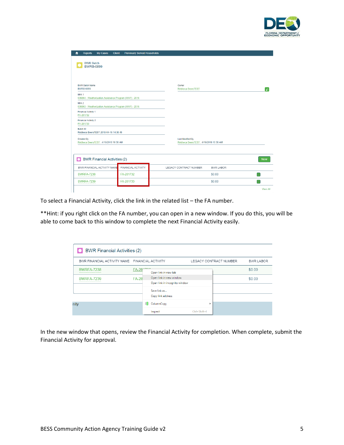

| <b>BWR Batch</b><br><b>BWRB-0899</b>                                        |                    |                                                           |                  |              |
|-----------------------------------------------------------------------------|--------------------|-----------------------------------------------------------|------------------|--------------|
|                                                                             |                    |                                                           |                  |              |
| <b>BWR Batch Name</b><br><b>BWRB-0899</b>                                   |                    | Owner<br><b>Rebbeca BeersTEST</b>                         |                  | $\mathbf{r}$ |
| NFA <sub>1</sub><br>036864 - Weatherization Assistance Program (WAP) - 2016 |                    |                                                           |                  |              |
| NFA <sub>2</sub><br>036863 - Weatherization Assistance Program (WAP) - 2016 |                    |                                                           |                  |              |
| <b>Financial Activity 1</b><br>FA-281732                                    |                    |                                                           |                  |              |
| Financial Activity 2<br>FA-281733                                           |                    |                                                           |                  |              |
| Batch ID<br>Rebbeca BeersTEST 2018-04-16 14:38:49                           |                    |                                                           |                  |              |
| <b>Created By</b><br>Rebbeca BeersTEST, 4/16/2018 10:38 AM                  |                    | Last Modified By<br>Rebbeca BeersTEST, 4/16/2018 10:38 AM |                  |              |
|                                                                             |                    |                                                           |                  |              |
| <b>BWR Financial Activities (2)</b>                                         |                    |                                                           |                  | <b>New</b>   |
| BWR FINANCIAL ACTIVITY NAME                                                 | FINANCIAL ACTIVITY | LEGACY CONTRACT NUMBER                                    | <b>BWR LABOR</b> |              |
| <b>BWRFA-7238</b>                                                           | FA-281732          |                                                           | \$0.00           | ÷            |
|                                                                             |                    |                                                           |                  |              |

To select a Financial Activity, click the link in the related list – the FA number.

\*\*Hint: if you right click on the FA number, you can open in a new window. If you do this, you will be able to come back to this window to complete the next Financial Activity easily.

| <b>BWR Financial Activities (2)</b>            |                       |                                                          |                    |                               |                  |
|------------------------------------------------|-----------------------|----------------------------------------------------------|--------------------|-------------------------------|------------------|
| BWR FINANCIAL ACTIVITY NAME FINANCIAL ACTIVITY |                       |                                                          |                    | <b>LEGACY CONTRACT NUMBER</b> | <b>BWR LABOR</b> |
| <b>BWRFA-7238</b>                              | FA-28 <sup>+700</sup> | Open link in new tab                                     |                    |                               | \$0.00           |
| <b>BWRFA-7239</b>                              | <b>FA-28</b>          | Open link in new window<br>Open link in incognito window |                    |                               | \$0.00           |
|                                                |                       | Save link as                                             |                    |                               |                  |
|                                                |                       | Copy link address                                        |                    |                               |                  |
| nity                                           |                       | ColumnCopy                                               | ٠                  |                               |                  |
|                                                |                       | Inspect                                                  | $Ctrl + Shift + 1$ |                               |                  |

In the new window that opens, review the Financial Activity for completion. When complete, submit the Financial Activity for approval.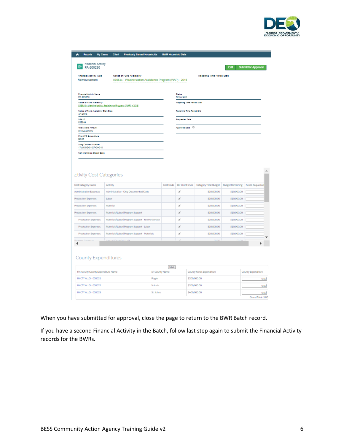

| <b>Reports</b><br>My Cases<br>٨                                                     | <b>Client</b>                             | Previously Served Households                                                           |                | <b>BWR Household Data</b>    |                             |                             |                         |                            |  |
|-------------------------------------------------------------------------------------|-------------------------------------------|----------------------------------------------------------------------------------------|----------------|------------------------------|-----------------------------|-----------------------------|-------------------------|----------------------------|--|
| <b>Financial Activity</b><br>FA-269236                                              |                                           |                                                                                        |                |                              |                             |                             | Edit                    | <b>Submit for Approval</b> |  |
| Financial Activity Type<br>Reimbursement                                            |                                           | Notice of Fund Availability<br>036544 - Weatherization Assistance Program (WAP) - 2016 |                |                              |                             | Reporting Time Period Start |                         |                            |  |
| Financial Activity Name<br>FA-269236                                                |                                           |                                                                                        |                |                              | Status<br>Requested         |                             |                         |                            |  |
| Notice of Fund Availability<br>036544.-Westherlastion.Assistance.Eropram.0WNEL-2016 |                                           |                                                                                        |                |                              | Reporting Time Period Start |                             |                         |                            |  |
| Notice of Fund Availability Start Date<br>4/1/2018                                  |                                           |                                                                                        |                | Regorting Time Period End    |                             |                             |                         |                            |  |
| <b>NEA ID</b><br>036544                                                             |                                           |                                                                                        |                |                              | <b>Requested Date</b>       |                             |                         |                            |  |
| <b>Total Asset Amount</b><br>\$1,000,000.00                                         |                                           |                                                                                        |                | Approved Date <sup>(1)</sup> |                             |                             |                         |                            |  |
| Prior LTD Expenditure<br>\$0.00                                                     |                                           |                                                                                        |                |                              |                             |                             |                         |                            |  |
| Long Contract Number<br>17V0X-0G-01-27-04-010                                       |                                           |                                                                                        |                |                              |                             |                             |                         |                            |  |
| Non-Workforce Object Code                                                           |                                           |                                                                                        |                |                              |                             |                             |                         |                            |  |
|                                                                                     |                                           |                                                                                        |                |                              |                             |                             |                         |                            |  |
| ctivity Cost Categories<br>Cost Category Name                                       | Activity                                  |                                                                                        |                | Cost Code                    | Dir Client Srvcs            | Category Total Budget       | <b>Budget Remaining</b> | <b>Funds Requested</b>     |  |
| Administrative Expenses                                                             |                                           | Administrative - Only Documented Costs                                                 |                |                              | ✔                           | \$10,000.00                 | \$10,000,00             |                            |  |
| Production Expenses                                                                 | Labor                                     |                                                                                        |                |                              | ✔                           | \$10,000.00                 | \$10,000.00             |                            |  |
| <b>Production Expenses</b>                                                          | Material                                  |                                                                                        |                |                              | ✔                           | \$10,000.00                 | \$10,000.00             |                            |  |
| Production Expenses                                                                 |                                           | Materials/Labor/Program Support                                                        |                |                              | ✔                           | \$10,000,00                 | \$10,000.00             |                            |  |
| Production Expenses                                                                 |                                           | Materials/Labor/Program Support - Fee For Service                                      |                |                              | ✔                           | \$10,000,00                 | \$10,000.00             |                            |  |
| Production Expenses                                                                 |                                           | Materials/Labor/Program Support - Labor                                                |                |                              | ✔                           | \$10,000.00                 | \$10,000.00             |                            |  |
| Production Expenses                                                                 | Materials/Labor/Program Support Materials |                                                                                        |                |                              | ✔                           | \$10,000.00                 | \$10,000.00             |                            |  |
|                                                                                     | <b>American Planning and Accords</b>      |                                                                                        |                |                              |                             | <b>COLOR</b>                | en een.                 |                            |  |
|                                                                                     |                                           |                                                                                        |                |                              |                             |                             |                         |                            |  |
|                                                                                     |                                           |                                                                                        |                |                              |                             |                             |                         |                            |  |
| County Expenditures                                                                 |                                           |                                                                                        |                |                              |                             |                             |                         |                            |  |
| Fin Activity County Expenditure Name                                                |                                           |                                                                                        | SR County Name | Save                         |                             | County Funds Expenditure    |                         | County Expenditure         |  |
| FA CTY ALLO 000021                                                                  |                                           |                                                                                        | Flagler        |                              |                             | \$200,000.00                |                         | 0.00                       |  |
| FAICTY ALLO - 000022                                                                |                                           |                                                                                        | Volusia        |                              |                             | \$200,000.00                |                         | 0.00                       |  |

When you have submitted for approval, close the page to return to the BWR Batch record.

If you have a second Financial Activity in the Batch, follow last step again to submit the Financial Activity records for the BWRs.